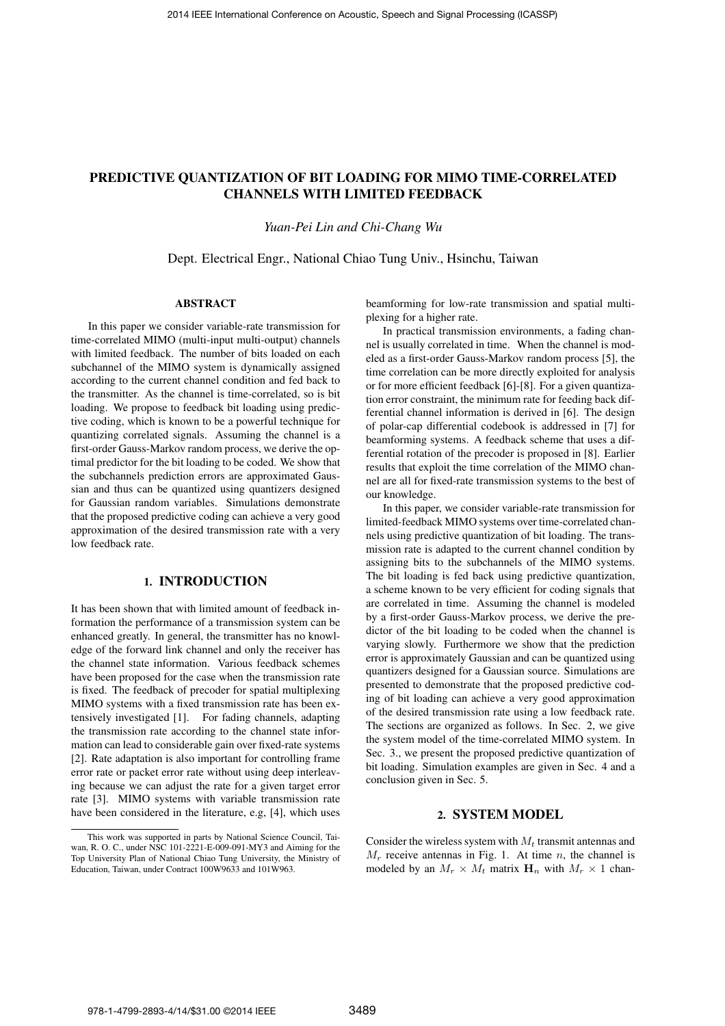# PREDICTIVE QUANTIZATION OF BIT LOADING FOR MIMO TIME-CORRELATED CHANNELS WITH LIMITED FEEDBACK

#### *Yuan-Pei Lin and Chi-Chang Wu*

Dept. Electrical Engr., National Chiao Tung Univ., Hsinchu, Taiwan

#### ABSTRACT

In this paper we consider variable-rate transmission for time-correlated MIMO (multi-input multi-output) channels with limited feedback. The number of bits loaded on each subchannel of the MIMO system is dynamically assigned according to the current channel condition and fed back to the transmitter. As the channel is time-correlated, so is bit loading. We propose to feedback bit loading using predictive coding, which is known to be a powerful technique for quantizing correlated signals. Assuming the channel is a first-order Gauss-Markov random process, we derive the optimal predictor for the bit loading to be coded. We show that the subchannels prediction errors are approximated Gaussian and thus can be quantized using quantizers designed for Gaussian random variables. Simulations demonstrate that the proposed predictive coding can achieve a very good approximation of the desired transmission rate with a very low feedback rate.

# 1. INTRODUCTION

It has been shown that with limited amount of feedback information the performance of a transmission system can be enhanced greatly. In general, the transmitter has no knowledge of the forward link channel and only the receiver has the channel state information. Various feedback schemes have been proposed for the case when the transmission rate is fixed. The feedback of precoder for spatial multiplexing MIMO systems with a fixed transmission rate has been extensively investigated [1]. For fading channels, adapting the transmission rate according to the channel state information can lead to considerable gain over fixed-rate systems [2]. Rate adaptation is also important for controlling frame error rate or packet error rate without using deep interleaving because we can adjust the rate for a given target error rate [3]. MIMO systems with variable transmission rate have been considered in the literature, e.g, [4], which uses

beamforming for low-rate transmission and spatial multiplexing for a higher rate.

In practical transmission environments, a fading channel is usually correlated in time. When the channel is modeled as a first-order Gauss-Markov random process [5], the time correlation can be more directly exploited for analysis or for more efficient feedback [6]-[8]. For a given quantization error constraint, the minimum rate for feeding back differential channel information is derived in [6]. The design of polar-cap differential codebook is addressed in [7] for beamforming systems. A feedback scheme that uses a differential rotation of the precoder is proposed in [8]. Earlier results that exploit the time correlation of the MIMO channel are all for fixed-rate transmission systems to the best of our knowledge.

In this paper, we consider variable-rate transmission for limited-feedback MIMO systems over time-correlated channels using predictive quantization of bit loading. The transmission rate is adapted to the current channel condition by assigning bits to the subchannels of the MIMO systems. The bit loading is fed back using predictive quantization, a scheme known to be very efficient for coding signals that are correlated in time. Assuming the channel is modeled by a first-order Gauss-Markov process, we derive the predictor of the bit loading to be coded when the channel is varying slowly. Furthermore we show that the prediction error is approximately Gaussian and can be quantized using quantizers designed for a Gaussian source. Simulations are presented to demonstrate that the proposed predictive coding of bit loading can achieve a very good approximation of the desired transmission rate using a low feedback rate. The sections are organized as follows. In Sec. 2, we give the system model of the time-correlated MIMO system. In Sec. 3., we present the proposed predictive quantization of bit loading. Simulation examples are given in Sec. 4 and a conclusion given in Sec. 5.

## 2. SYSTEM MODEL

Consider the wireless system with  $M_t$  transmit antennas and  $M_r$  receive antennas in Fig. 1. At time n, the channel is modeled by an  $M_r \times M_t$  matrix  $\mathbf{H}_n$  with  $M_r \times 1$  chan-

This work was supported in parts by National Science Council, Taiwan, R. O. C., under NSC 101-2221-E-009-091-MY3 and Aiming for the Top University Plan of National Chiao Tung University, the Ministry of Education, Taiwan, under Contract 100W9633 and 101W963.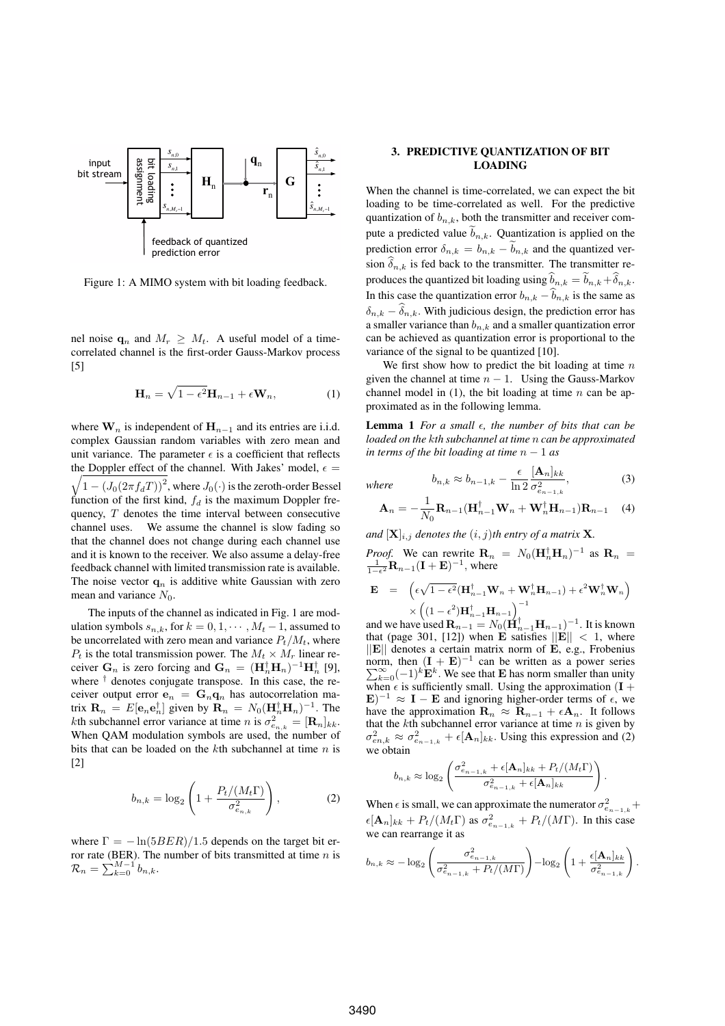

Figure 1: A MIMO system with bit loading feedback.

nel noise  $\mathbf{q}_n$  and  $M_r \geq M_t$ . A useful model of a timecorrelated channel is the first-order Gauss-Markov process [5]

$$
\mathbf{H}_n = \sqrt{1 - \epsilon^2} \mathbf{H}_{n-1} + \epsilon \mathbf{W}_n, \tag{1}
$$

where  $\mathbf{W}_n$  is independent of  $\mathbf{H}_{n-1}$  and its entries are i.i.d. complex Gaussian random variables with zero mean and unit variance. The parameter  $\epsilon$  is a coefficient that reflects the Doppler effect of the channel. With Jakes' model,  $\epsilon$  = the Doppler effect of the channel. With Jakes' model,  $\epsilon = \sqrt{1 - (J_0(2\pi f_dT))^2}$ , where  $J_0(\cdot)$  is the zeroth-order Bessel function of the first kind,  $f_d$  is the maximum Doppler frequency,  $T$  denotes the time interval between consecutive channel uses. We assume the channel is slow fading so that the channel does not change during each channel use and it is known to the receiver. We also assume a delay-free feedback channel with limited transmission rate is available. The noise vector  $\mathbf{q}_n$  is additive white Gaussian with zero mean and variance  $N_0$ .

The inputs of the channel as indicated in Fig. 1 are modulation symbols  $s_{n,k}$ , for  $k = 0, 1, \dots, M_t - 1$ , assumed to be uncorrelated with zero mean and variance  $P_t/M_t$ , where  $P_t$  is the total transmission power. The  $M_t \times M_r$  linear receiver  $\mathbf{G}_n$  is zero forcing and  $\mathbf{G}_n = (\mathbf{H}_n^{\dagger} \mathbf{H}_n)^{-1} \mathbf{H}_n^{\dagger}$  [9],<br>where <sup>†</sup> denotes conjugate transpose. In this case, the rewhere  $\dagger$  denotes conjugate transpose. In this case, the receiver output error  $e_n = G_n q_n$  has autocorrelation matrix  $\mathbf{R}_n = E[\mathbf{e}_n \mathbf{e}_n^{\dagger}]$  given by  $\mathbf{R}_n = N_0 (\mathbf{H}_n^{\dagger} \mathbf{H}_n)^{-1}$ . The kth subchannel error variance at time *n* is  $\sigma^2 = [\mathbf{R}_n]$ . kth subchannel error variance at time n is  $\sigma_{e_{n,k}}^2 = [\mathbf{R}_n]_{kk}$ .<br>When OAM modulation symbols are used, the number of When QAM modulation symbols are used, the number of bits that can be loaded on the  $k$ th subchannel at time  $n$  is [2]

$$
b_{n,k} = \log_2\left(1 + \frac{P_t/(M_t\Gamma)}{\sigma_{e_{n,k}}^2}\right),\tag{2}
$$

where  $\Gamma = -\ln(5BER)/1.5$  depends on the target bit error rate (BER). The number of bits transmitted at time *n* is  $\mathcal{R}_n = \sum_{k=0}^{M-1} b_{n,k}$ .

### 3. PREDICTIVE QUANTIZATION OF BIT LOADING

When the channel is time-correlated, we can expect the bit loading to be time-correlated as well. For the predictive quantization of  $b_{n,k}$ , both the transmitter and receiver compute a predicted value  $\widetilde{b}_{n,k}$ . Quantization is applied on the prediction error  $\delta_{n,k} = b_{n,k} - \delta_{n,k}$  and the quantized version  $\delta_{n,k}$  is fed back to the transmitter. The transmitter reproduces the quantized bit loading using  $b_{n,k} = b_{n,k} + \delta_{n,k}$ .<br>In this case the quantization area  $k = \hat{h}_{n,k}$  is the same as In this case the quantization error  $b_{n,k} - \widehat{b}_{n,k}$  is the same as  $\delta_{n,k} - \delta_{n,k}$ . With judicious design, the prediction error has a smaller variance than  $b_{n,k}$  and a smaller quantization error can be achieved as quantization error is proportional to the variance of the signal to be quantized [10].

We first show how to predict the bit loading at time  $n$ given the channel at time  $n - 1$ . Using the Gauss-Markov channel model in  $(1)$ , the bit loading at time n can be approximated as in the following lemma.

Lemma 1 *For a small*  $\epsilon$ , the number of bits that can be *loaded on the* k*th subchannel at time* n *can be approximated in terms of the bit loading at time*  $n - 1$  *as* 

where 
$$
b_{n,k} \approx b_{n-1,k} - \frac{\epsilon}{\ln 2} \frac{[\mathbf{A}_n]_{kk}}{\sigma_{e_{n-1,k}}^2},
$$
 (3)

$$
\mathbf{A}_n = -\frac{1}{N_0} \mathbf{R}_{n-1} (\mathbf{H}_{n-1}^\dagger \mathbf{W}_n + \mathbf{W}_n^\dagger \mathbf{H}_{n-1}) \mathbf{R}_{n-1} \quad (4)
$$

*and*  $[X]_{i,j}$  *denotes the*  $(i, j)$ *th entry of a matrix* **X***.* 

*Proof.* We can rewrite 
$$
\mathbf{R}_n = N_0 (\mathbf{H}_n^{\dagger} \mathbf{H}_n)^{-1}
$$
 as  $\mathbf{R}_n = \frac{1}{1 - \epsilon^2} \mathbf{R}_{n-1} (\mathbf{I} + \mathbf{E})^{-1}$ , where

$$
\mathbf{E} = \left( \epsilon \sqrt{1 - \epsilon^2} (\mathbf{H}_{n-1}^\dagger \mathbf{W}_n + \mathbf{W}_n^\dagger \mathbf{H}_{n-1}) + \epsilon^2 \mathbf{W}_n^\dagger \mathbf{W}_n \right) \times \left( (1 - \epsilon^2) \mathbf{H}_{n-1}^\dagger \mathbf{H}_{n-1} \right)^{-1}
$$
\nand we have used  $\mathbf{B} = N_1 (\mathbf{H}_1^\dagger - \mathbf{H}_{n-1})^{-1}$ . It is known

and we have used  $\mathbf{R}_{n-1} = N_0 (\mathbf{H}_{n-1}^{\dagger} \mathbf{H}_{n-1})^{-1}$ . It is known<br>that (page 301 [12]) when **E** satisfies  $||\mathbf{E}|| < 1$  where that (page 301, [12]) when **E** satisfies  $||\mathbf{E}|| < 1$ , where  $||\mathbf{E}||$  denotes a certain matrix norm of **E**, e.g., Frobenius norm, then  $(I + E)^{-1}$  can be written as a power series<br> $\sum_{n=0}^{\infty} (-1)^{k} E^{k}$  We see that **E** has norm smaller than unity  $\sum_{k=0}^{\infty}(-1)^k E^k$ . We see that **E** has norm smaller than unity<br>when  $\epsilon$  is sufficiently small. Using the approximation (**I** + when  $\epsilon$  is sufficiently small. Using the approximation  $(I + E)^{-1} \approx I - E$  and ignoring higher-order terms of  $\epsilon$  we **E**)<sup>−1</sup> ≈ **I** − **E** and ignoring higher-order terms of  $\epsilon$ , we have the approximation  $\mathbf{R}_n \approx \mathbf{R}_{n-1} + \epsilon \mathbf{A}_n$ . It follows have the approximation  $\mathbf{R}_n \approx \mathbf{R}_{n-1} + \epsilon \mathbf{A}_n$ . It follows that the *k*th subchannel error variance at time *n* is given by that the  $k$ th subchannel error variance at time  $n$  is given by  $\sigma_{en,k}^2 \approx \sigma_{en-1,k}^2 + \epsilon [\mathbf{A}_n]_{kk}$ . Using this expression and (2) we obtain

$$
b_{n,k} \approx \log_2\left(\frac{\sigma_{e_{n-1,k}}^2 + \epsilon[\mathbf{A}_n]_{kk} + P_t/(M_t\Gamma)}{\sigma_{e_{n-1,k}}^2 + \epsilon[\mathbf{A}_n]_{kk}}\right).
$$

When  $\epsilon$  is small, we can approximate the numerator  $\sigma_e^2$ when  $\epsilon$  is small, we can approximate the numerator  $\sigma_{e_{n-1,k}}^2 + \epsilon [\mathbf{A}_n]_{kk} + P_t/(M_\epsilon \Gamma)$  as  $\sigma_{e_{n-1,k}}^2 + P_t/(M \Gamma)$ . In this case we can rearrange it as

$$
b_{n,k} \approx -\log_2\left(\frac{\sigma_{e_{n-1,k}}^2}{\sigma_{e_{n-1,k}}^2 + P_t/(M\Gamma)}\right) - \log_2\left(1 + \frac{\epsilon[\mathbf{A}_n]_{kk}}{\sigma_{e_{n-1,k}}^2}\right)
$$

.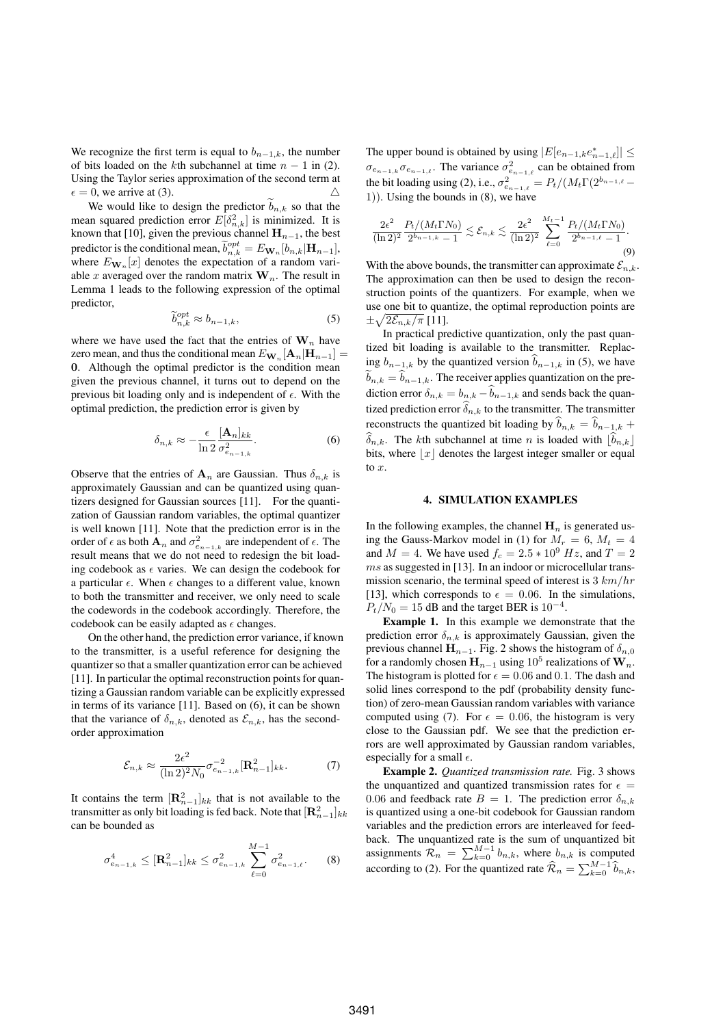We recognize the first term is equal to  $b_{n-1,k}$ , the number of bits loaded on the kth subchannel at time  $n - 1$  in (2). Using the Taylor series approximation of the second term at  $\epsilon = 0$ , we arrive at (3).

 $\epsilon = 0$ , we arrive at (3). <br>We would like to design the predictor  $\tilde{b}_{n,k}$  so that the mean squared prediction error  $E[\delta_{n,k}^2]$  is minimized. It is<br>known that [10], given the previous channel  $\bf{H}$ , the best known that [10], given the previous channel  $\mathbf{H}_{n-1}$ , the best predictor is the conditional mean,  $\tilde{b}_{n,k}^{opt} = E_{\mathbf{W}_n}[b_{n,k}|\mathbf{H}_{n-1}],$ <br>where  $E_{\mathbf{W}_n}[x]$  denotes the expectation of a random variwhere  $E_{\mathbf{W}_n}[x]$  denotes the expectation of a random variable x averaged over the random matrix  $\mathbf{W}_n$ . The result in Lemma 1 leads to the following expression of the optimal predictor,

$$
\widetilde{b}_{n,k}^{opt} \approx b_{n-1,k},\tag{5}
$$

where we have used the fact that the entries of  $W_n$  have zero mean, and thus the conditional mean  $E_{\mathbf{W}_n}[\mathbf{A}_n|\mathbf{H}_{n-1}] =$ **0**. Although the optimal predictor is the condition mean given the previous channel, it turns out to depend on the previous bit loading only and is independent of  $\epsilon$ . With the optimal prediction, the prediction error is given by

$$
\delta_{n,k} \approx -\frac{\epsilon}{\ln 2} \frac{[\mathbf{A}_n]_{kk}}{\sigma_{e_{n-1,k}}^2}.
$$
 (6)

Observe that the entries of  $A_n$  are Gaussian. Thus  $\delta_{n,k}$  is approximately Gaussian and can be quantized using quantizers designed for Gaussian sources [11]. For the quantization of Gaussian random variables, the optimal quantizer is well known [11]. Note that the prediction error is in the order of  $\epsilon$  as both **A**<sub>n</sub> and  $\sigma_{e_{n-1,k}}^2$  are independent of  $\epsilon$ . The result means that we do not need to redesign the bit loading codebook as  $\epsilon$  varies. We can design the codebook for a particular  $\epsilon$ . When  $\epsilon$  changes to a different value, known to both the transmitter and receiver, we only need to scale the codewords in the codebook accordingly. Therefore, the codebook can be easily adapted as  $\epsilon$  changes.

On the other hand, the prediction error variance, if known to the transmitter, is a useful reference for designing the quantizer so that a smaller quantization error can be achieved [11]. In particular the optimal reconstruction points for quantizing a Gaussian random variable can be explicitly expressed in terms of its variance [11]. Based on (6), it can be shown that the variance of  $\delta_{n,k}$ , denoted as  $\mathcal{E}_{n,k}$ , has the secondorder approximation

$$
\mathcal{E}_{n,k} \approx \frac{2\epsilon^2}{(\ln 2)^2 N_0} \sigma_{e_{n-1,k}}^{-2} [\mathbf{R}_{n-1}^2]_{kk}.
$$
 (7)

It contains the term  $[\mathbf{R}_{n-1}^2]_{kk}$  that is not available to the transmitter as only bit loading is fed back. Note that  $[\mathbf{R}^2]$ transmitter as only bit loading is fed back. Note that  $[\mathbf{R}_{n-1}^2]_{kk}$ can be bounded as

$$
\sigma_{e_{n-1,k}}^4 \leq [\mathbf{R}_{n-1}^2]_{kk} \leq \sigma_{e_{n-1,k}}^2 \sum_{\ell=0}^{M-1} \sigma_{e_{n-1,\ell}}^2. \tag{8}
$$

The upper bound is obtained by using  $|E[e_{n-1,k}e_{n-1,\ell}^*]| \le$  $\sigma_{e_{n-1,k}} \sigma_{e_{n-1,\ell}}$ . The variance  $\sigma_{e_{n-1,\ell}}^2$  can be obtained from the bit loading using (2), i.e.,  $\sigma_{e_{n-1,\ell}}^2 = P_t/(M_t\Gamma(2^{b_{n-1,\ell}}-1))$ . Using the bounds in (8), we have 1)). Using the bounds in (8), we have

$$
\frac{2\epsilon^2}{(\ln 2)^2} \frac{P_t/(M_t \Gamma N_0)}{2^{b_{n-1,k}} - 1} \lesssim \mathcal{E}_{n,k} \lesssim \frac{2\epsilon^2}{(\ln 2)^2} \sum_{\ell=0}^{M_t - 1} \frac{P_t/(M_t \Gamma N_0)}{2^{b_{n-1,\ell}} - 1}.
$$
\n(9)

With the above bounds, the transmitter can approximate  $\mathcal{E}_{n,k}$ . The approximation can then be used to design the reconstruction points of the quantizers. For example, when we use one bit to quantize, the optimal reproduction points are  $\pm\sqrt{2\mathcal{E}_{n,k}/\pi}$  [11].

In practical predictive quantization, only the past quantized bit loading is available to the transmitter. Replacing  $b_{n-1,k}$  by the quantized version  $\widehat{b}_{n-1,k}$  in (5), we have  $\widetilde{b}_{n,k} = \widehat{b}_{n-1,k}$ . The receiver applies quantization on the prediction error  $\delta_{n,k} = b_{n,k} - \widehat{b}_{n-1,k}$  and sends back the quantized prediction error  $\delta_{n,k}$  to the transmitter. The transmitter reconstructs the quantized bit loading by  $\hat{b}_{n,k} = \hat{b}_{n-1,k} +$  $\delta_{n,k}$ . The kth subchannel at time n is loaded with  $\lfloor b_{n,k} \rfloor$ bits, where  $|x|$  denotes the largest integer smaller or equal to  $x$ .

## 4. SIMULATION EXAMPLES

In the following examples, the channel  $\mathbf{H}_n$  is generated using the Gauss-Markov model in (1) for  $M_r = 6$ ,  $M_t = 4$ and  $M = 4$ . We have used  $f_c = 2.5 * 10^9$  Hz, and  $T = 2$ ms as suggested in [13]. In an indoor or microcellular transmission scenario, the terminal speed of interest is  $3 \, km/hr$ [13], which corresponds to  $\epsilon = 0.06$ . In the simulations,<br> $P_{\epsilon}/N_{\epsilon} = 15$  dB and the target BER is  $10^{-4}$  $P_t/N_0 = 15$  dB and the target BER is 10<sup>-4</sup>.

Example 1. In this example we demonstrate that the prediction error  $\delta_{n,k}$  is approximately Gaussian, given the previous channel  $\mathbf{H}_{n-1}$ . Fig. 2 shows the histogram of  $\delta_{n,0}$ for a randomly chosen  $\mathbf{H}_{n-1}$  using 10<sup>5</sup> realizations of  $\mathbf{W}_n$ . The histogram is plotted for  $\epsilon = 0.06$  and 0.1. The dash and solid lines correspond to the ndf (probability density funcsolid lines correspond to the pdf (probability density function) of zero-mean Gaussian random variables with variance computed using (7). For  $\epsilon = 0.06$ , the histogram is very close to the Gaussian pdf. We see that the prediction errors are well approximated by Gaussian random variables, especially for a small  $\epsilon$ .

Example 2. *Quantized transmission rate.* Fig. 3 shows the unquantized and quantized transmission rates for  $\epsilon$ 0.06 and feedback rate  $B = 1$ . The prediction error  $\delta_{n,k}$ <br>is quantized using a one-bit codebook for Gaussian random is quantized using a one-bit codebook for Gaussian random variables and the prediction errors are interleaved for feedback. The unquantized rate is the sum of unquantized bit assignments  $\mathcal{R}_n = \sum_{k=0}^{M-1} b_{n,k}$ , where  $b_{n,k}$  is computed assessments to (2). For the number of the  $\widehat{\mathbb{R}}$ according to (2). For the quantized rate  $\widehat{\mathcal{R}}_n = \sum_{k=0}^{M-1} \widehat{b}_{n,k}$ ,